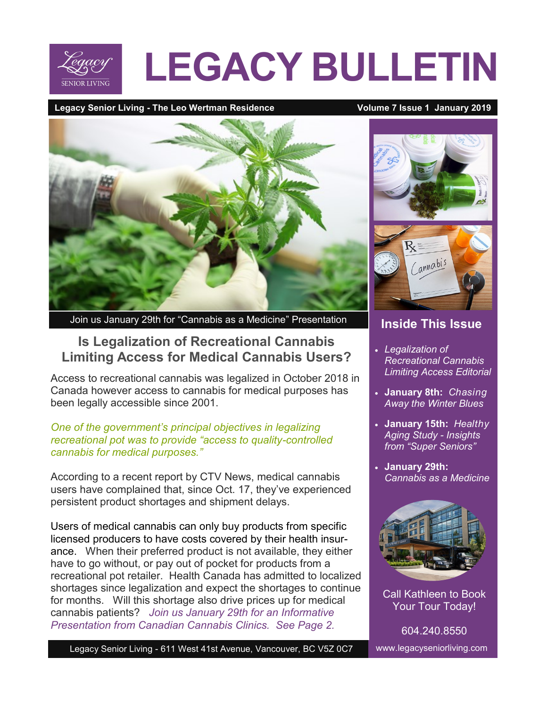

# **LEGACY BULLETIN**

#### Legacy Senior Living - The Leo Wertman Residence **Volume 7 Issue 1 January 2019**



Join us January 29th for "Cannabis as a Medicine" Presentation

#### **Is Legalization of Recreational Cannabis Limiting Access for Medical Cannabis Users?**

Access to recreational cannabis was legalized in October 2018 in Canada however access to cannabis for medical purposes has been legally accessible since 2001.

#### *One of the government's principal objectives in legalizing recreational pot was to provide "access to quality-controlled cannabis for medical purposes."*

According to a recent report by CTV News, medical cannabis users have complained that, since Oct. 17, they've experienced persistent product shortages and shipment delays.

Users of medical cannabis can only buy products from specific licensed producers to have costs covered by their health insurance. When their preferred product is not available, they either have to go without, or pay out of pocket for products from a recreational pot retailer. Health Canada has admitted to localized shortages since legalization and expect the shortages to continue for months. Will this shortage also drive prices up for medical cannabis patients? *Join us January 29th for an Informative Presentation from Canadian Cannabis Clinics. See Page 2.*



#### **Inside This Issue**

- *Legalization of Recreational Cannabis Limiting Access Editorial*
- **January 8th:** *Chasing Away the Winter Blues*
- **January 15th:** *Healthy Aging Study - Insights from "Super Seniors"*
- **January 29th:**  *Cannabis as a Medicine*



Call Kathleen to Book Your Tour Today!

 www.legacyseniorliving.com 604.240.8550

Legacy Senior Living - 611 West 41st Avenue, Vancouver, BC V5Z 0C7